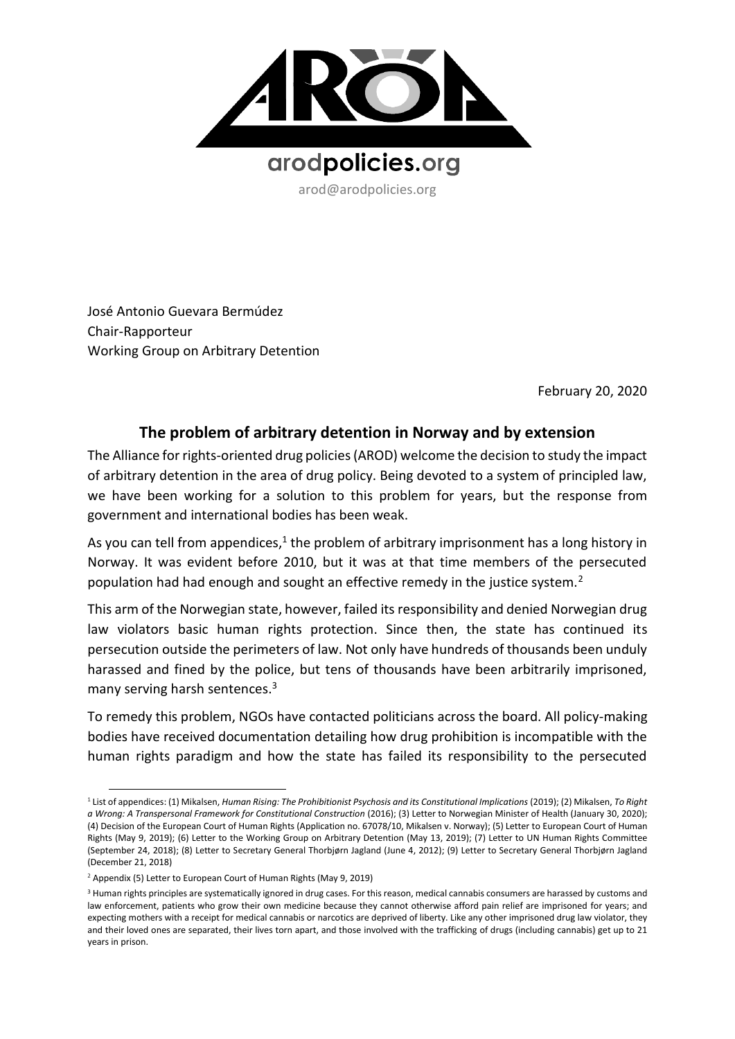

arod@arodpolicies.org

José Antonio Guevara Bermúdez Chair-Rapporteur Working Group on Arbitrary Detention

February 20, 2020

## **The problem of arbitrary detention in Norway and by extension**

The Alliance for rights-oriented drug policies (AROD) welcome the decision to study the impact of arbitrary detention in the area of drug policy. Being devoted to a system of principled law, we have been working for a solution to this problem for years, but the response from government and international bodies has been weak.

As you can tell from appendices,<sup>1</sup> the problem of arbitrary imprisonment has a long history in Norway. It was evident before 2010, but it was at that time members of the persecuted population had had enough and sought an effective remedy in the justice system.<sup>2</sup>

This arm of the Norwegian state, however, failed its responsibility and denied Norwegian drug law violators basic human rights protection. Since then, the state has continued its persecution outside the perimeters of law. Not only have hundreds of thousands been unduly harassed and fined by the police, but tens of thousands have been arbitrarily imprisoned, many serving harsh sentences.<sup>3</sup>

To remedy this problem, NGOs have contacted politicians across the board. All policy-making bodies have received documentation detailing how drug prohibition is incompatible with the human rights paradigm and how the state has failed its responsibility to the persecuted

<sup>1</sup> List of appendices: (1) Mikalsen, *Human Rising: The Prohibitionist Psychosis and its Constitutional Implications* (2019); (2) Mikalsen, *To Right a Wrong: A Transpersonal Framework for Constitutional Construction (2016); (3) Letter to Norwegian Minister of Health (January 30, 2020);* (4) Decision of the European Court of Human Rights (Application no. 67078/10, Mikalsen v. Norway); (5) Letter to European Court of Human Rights (May 9, 2019); (6) Letter to the Working Group on Arbitrary Detention (May 13, 2019); (7) Letter to UN Human Rights Committee (September 24, 2018); (8) Letter to Secretary General Thorbjørn Jagland (June 4, 2012); (9) Letter to Secretary General Thorbjørn Jagland (December 21, 2018)

<sup>2</sup> Appendix (5) Letter to European Court of Human Rights (May 9, 2019)

<sup>&</sup>lt;sup>3</sup> Human rights principles are systematically ignored in drug cases. For this reason, medical cannabis consumers are harassed by customs and law enforcement, patients who grow their own medicine because they cannot otherwise afford pain relief are imprisoned for years; and expecting mothers with a receipt for medical cannabis or narcotics are deprived of liberty. Like any other imprisoned drug law violator, they and their loved ones are separated, their lives torn apart, and those involved with the trafficking of drugs (including cannabis) get up to 21 years in prison.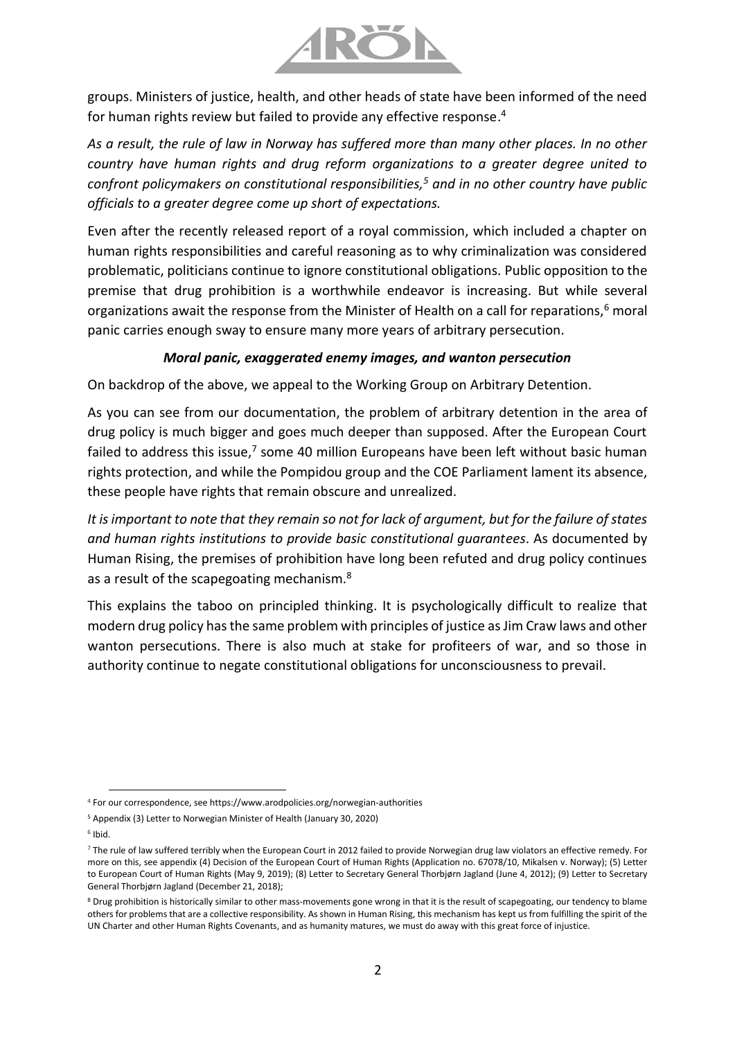

groups. Ministers of justice, health, and other heads of state have been informed of the need for human rights review but failed to provide any effective response. 4

*As a result, the rule of law in Norway has suffered more than many other places. In no other country have human rights and drug reform organizations to a greater degree united to confront policymakers on constitutional responsibilities,<sup>5</sup> and in no other country have public officials to a greater degree come up short of expectations.* 

Even after the recently released report of a royal commission, which included a chapter on human rights responsibilities and careful reasoning as to why criminalization was considered problematic, politicians continue to ignore constitutional obligations. Public opposition to the premise that drug prohibition is a worthwhile endeavor is increasing. But while several organizations await the response from the Minister of Health on a call for reparations, $6$  moral panic carries enough sway to ensure many more years of arbitrary persecution.

## *Moral panic, exaggerated enemy images, and wanton persecution*

On backdrop of the above, we appeal to the Working Group on Arbitrary Detention.

As you can see from our documentation, the problem of arbitrary detention in the area of drug policy is much bigger and goes much deeper than supposed. After the European Court failed to address this issue,<sup>7</sup> some 40 million Europeans have been left without basic human rights protection, and while the Pompidou group and the COE Parliament lament its absence, these people have rights that remain obscure and unrealized.

*It is important to note that they remain so not for lack of argument, but for the failure of states and human rights institutions to provide basic constitutional guarantees*. As documented by Human Rising, the premises of prohibition have long been refuted and drug policy continues as a result of the scapegoating mechanism.<sup>8</sup>

This explains the taboo on principled thinking. It is psychologically difficult to realize that modern drug policy has the same problem with principles of justice as Jim Craw laws and other wanton persecutions. There is also much at stake for profiteers of war, and so those in authority continue to negate constitutional obligations for unconsciousness to prevail.

6 Ibid.

<sup>4</sup> For our correspondence, see https://www.arodpolicies.org/norwegian-authorities

<sup>5</sup> Appendix (3) Letter to Norwegian Minister of Health (January 30, 2020)

<sup>7</sup> The rule of law suffered terribly when the European Court in 2012 failed to provide Norwegian drug law violators an effective remedy. For more on this, see appendix (4) Decision of the European Court of Human Rights (Application no. 67078/10, Mikalsen v. Norway); (5) Letter to European Court of Human Rights (May 9, 2019); (8) Letter to Secretary General Thorbjørn Jagland (June 4, 2012); (9) Letter to Secretary General Thorbjørn Jagland (December 21, 2018);

<sup>&</sup>lt;sup>8</sup> Drug prohibition is historically similar to other mass-movements gone wrong in that it is the result of scapegoating, our tendency to blame others for problems that are a collective responsibility. As shown in Human Rising, this mechanism has kept us from fulfilling the spirit of the UN Charter and other Human Rights Covenants, and as humanity matures, we must do away with this great force of injustice.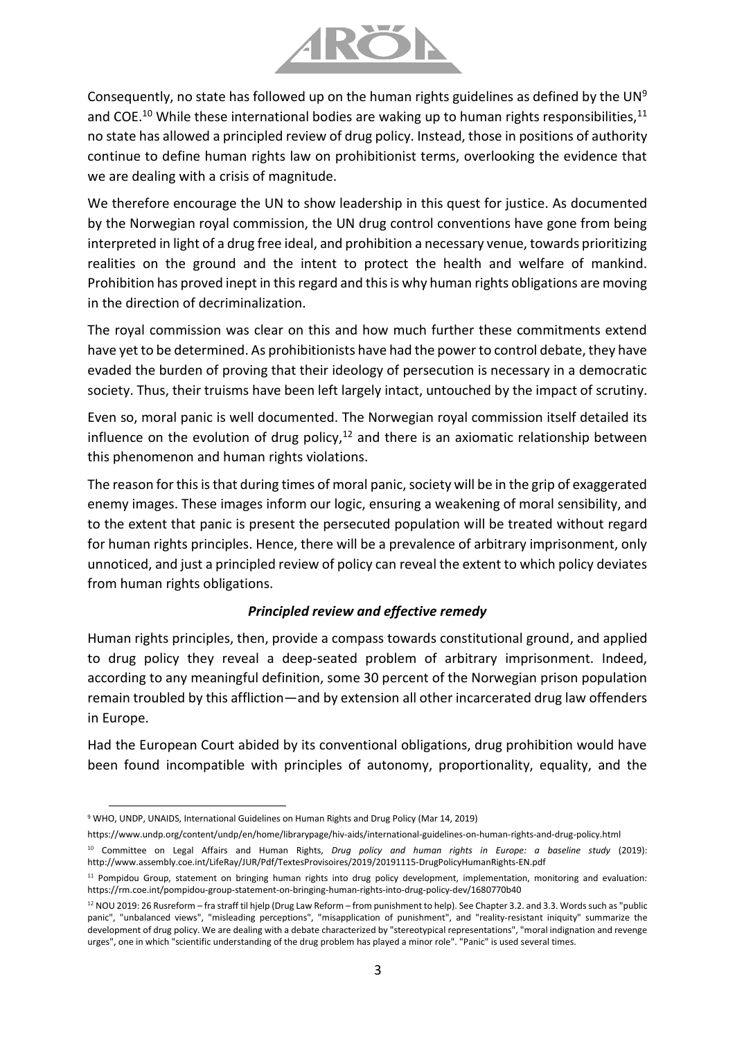

Consequently, no state has followed up on the human rights guidelines as defined by the UN<sup>9</sup> and COE.<sup>10</sup> While these international bodies are waking up to human rights responsibilities,<sup>11</sup> no state has allowed a principled review of drug policy. Instead, those in positions of authority continue to define human rights law on prohibitionist terms, overlooking the evidence that we are dealing with a crisis of magnitude.

We therefore encourage the UN to show leadership in this quest for justice. As documented by the Norwegian royal commission, the UN drug control conventions have gone from being interpreted in light of a drug free ideal, and prohibition a necessary venue, towards prioritizing realities on the ground and the intent to protect the health and welfare of mankind. Prohibition has proved inept in this regard and this is why human rights obligations are moving in the direction of decriminalization.

The royal commission was clear on this and how much further these commitments extend have yet to be determined. As prohibitionists have had the power to control debate, they have evaded the burden of proving that their ideology of persecution is necessary in a democratic society. Thus, their truisms have been left largely intact, untouched by the impact of scrutiny.

Even so, moral panic is well documented. The Norwegian royal commission itself detailed its influence on the evolution of drug policy, $12$  and there is an axiomatic relationship between this phenomenon and human rights violations.

The reason for this is that during times of moral panic, society will be in the grip of exaggerated enemy images. These images inform our logic, ensuring a weakening of moral sensibility, and to the extent that panic is present the persecuted population will be treated without regard for human rights principles. Hence, there will be a prevalence of arbitrary imprisonment, only unnoticed, and just a principled review of policy can reveal the extent to which policy deviates from human rights obligations.

## *Principled review and effective remedy*

Human rights principles, then, provide a compass towards constitutional ground, and applied to drug policy they reveal a deep-seated problem of arbitrary imprisonment. Indeed, according to any meaningful definition, some 30 percent of the Norwegian prison population remain troubled by this affliction—and by extension all other incarcerated drug law offenders in Europe.

Had the European Court abided by its conventional obligations, drug prohibition would have been found incompatible with principles of autonomy, proportionality, equality, and the

<sup>9</sup> WHO, UNDP, UNAIDS, International Guidelines on Human Rights and Drug Policy (Mar 14, 2019)

https://www.undp.org/content/undp/en/home/librarypage/hiv-aids/international-guidelines-on-human-rights-and-drug-policy.html

<sup>10</sup> Committee on Legal Affairs and Human Rights, *Drug policy and human rights in Europe: a baseline study* (2019): http://www.assembly.coe.int/LifeRay/JUR/Pdf/TextesProvisoires/2019/20191115-DrugPolicyHumanRights-EN.pdf

<sup>11</sup> Pompidou Group, statement on bringing human rights into drug policy development, implementation, monitoring and evaluation: https://rm.coe.int/pompidou-group-statement-on-bringing-human-rights-into-drug-policy-dev/1680770b40

<sup>12</sup> NOU 2019: 26 Rusreform – fra straff til hjelp (Drug Law Reform – from punishment to help). See Chapter 3.2. and 3.3. Words such as "public panic", "unbalanced views", "misleading perceptions", "misapplication of punishment", and "reality-resistant iniquity" summarize the development of drug policy. We are dealing with a debate characterized by "stereotypical representations", "moral indignation and revenge urges", one in which "scientific understanding of the drug problem has played a minor role". "Panic" is used several times.